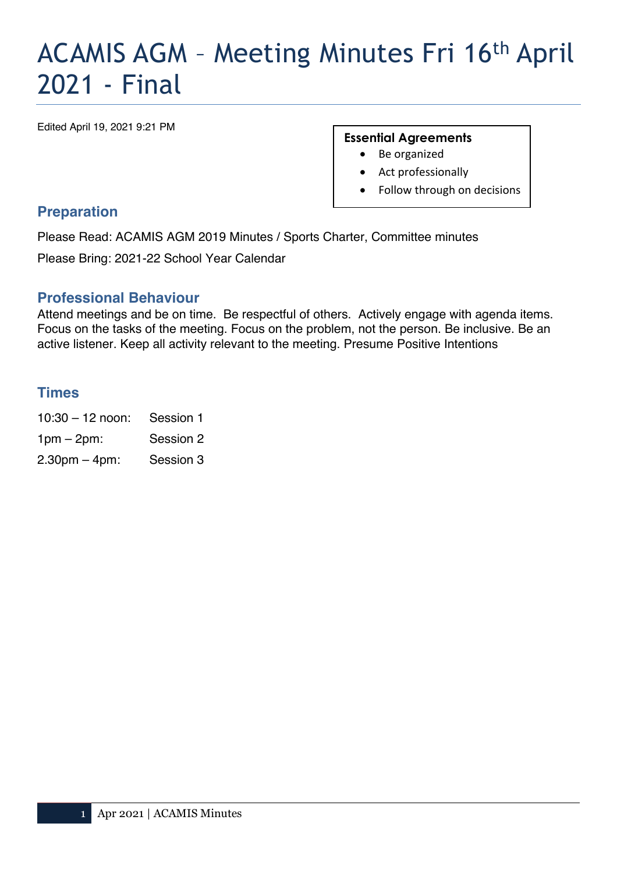# ACAMIS AGM – Meeting Minutes Fri 16th April 2021 - Final

Edited April 19, 2021 9:21 PM

#### **Essential Agreements**

- Be organized
- Act professionally
- Follow through on decisions

#### **Preparation**

Please Read: ACAMIS AGM 2019 Minutes / Sports Charter, Committee minutes

Please Bring: 2021-22 School Year Calendar

#### **Professional Behaviour**

Attend meetings and be on time.Be respectful of others.Actively engage with agenda items. Focus on the tasks of the meeting. Focus on the problem, not the person. Be inclusive. Be an active listener. Keep all activity relevant to the meeting. Presume Positive Intentions

#### **Times**

10:30 – 12 noon: Session 1 1pm – 2pm: Session 2 2.30pm – 4pm: Session 3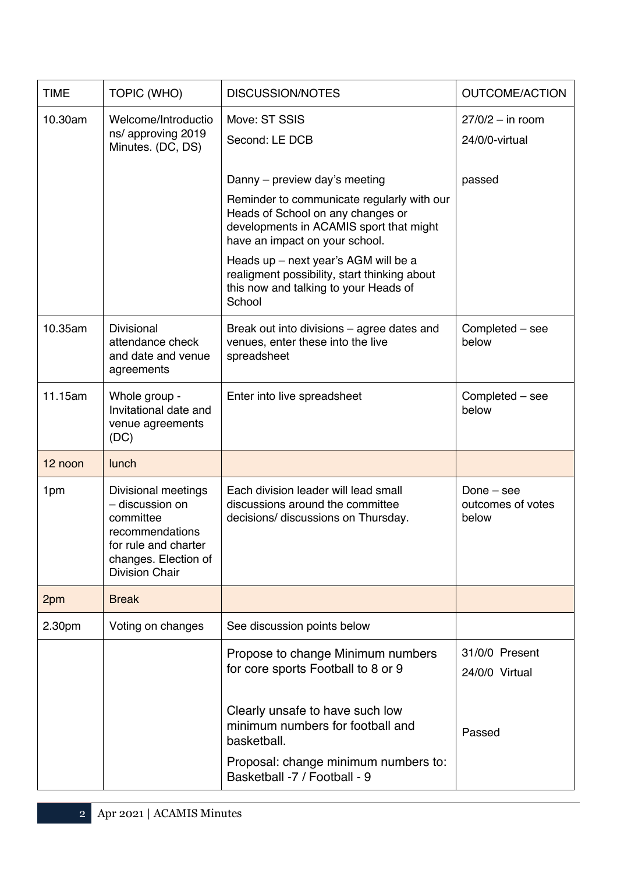| <b>TIME</b> | TOPIC (WHO)                                                                                                                                     | <b>DISCUSSION/NOTES</b>                                                                                                                                                                       | <b>OUTCOME/ACTION</b>                      |  |
|-------------|-------------------------------------------------------------------------------------------------------------------------------------------------|-----------------------------------------------------------------------------------------------------------------------------------------------------------------------------------------------|--------------------------------------------|--|
| 10.30am     | Welcome/Introductio<br>ns/ approving 2019<br>Minutes. (DC, DS)                                                                                  | Move: ST SSIS<br>Second: LE DCB                                                                                                                                                               | $27/0/2 - in room$<br>24/0/0-virtual       |  |
|             |                                                                                                                                                 | Danny – preview day's meeting<br>Reminder to communicate regularly with our<br>Heads of School on any changes or<br>developments in ACAMIS sport that might<br>have an impact on your school. | passed                                     |  |
|             |                                                                                                                                                 | Heads up - next year's AGM will be a<br>realigment possibility, start thinking about<br>this now and talking to your Heads of<br>School                                                       |                                            |  |
| 10.35am     | <b>Divisional</b><br>attendance check<br>and date and venue<br>agreements                                                                       | Break out into divisions – agree dates and<br>venues, enter these into the live<br>spreadsheet                                                                                                | Completed - see<br>below                   |  |
| 11.15am     | Whole group -<br>Invitational date and<br>venue agreements<br>(DC)                                                                              | Enter into live spreadsheet                                                                                                                                                                   | Completed - see<br>below                   |  |
| 12 noon     | lunch                                                                                                                                           |                                                                                                                                                                                               |                                            |  |
| 1pm         | Divisional meetings<br>- discussion on<br>committee<br>recommendations<br>for rule and charter<br>changes. Election of<br><b>Division Chair</b> | Each division leader will lead small<br>discussions around the committee<br>decisions/ discussions on Thursday.                                                                               | Done $-$ see<br>outcomes of votes<br>below |  |
| 2pm         | <b>Break</b>                                                                                                                                    |                                                                                                                                                                                               |                                            |  |
| 2.30pm      | Voting on changes                                                                                                                               | See discussion points below                                                                                                                                                                   |                                            |  |
|             |                                                                                                                                                 | Propose to change Minimum numbers<br>for core sports Football to 8 or 9                                                                                                                       | 31/0/0 Present<br>24/0/0 Virtual           |  |
|             |                                                                                                                                                 | Clearly unsafe to have such low<br>minimum numbers for football and<br>basketball.                                                                                                            | Passed                                     |  |
|             |                                                                                                                                                 | Proposal: change minimum numbers to:<br>Basketball -7 / Football - 9                                                                                                                          |                                            |  |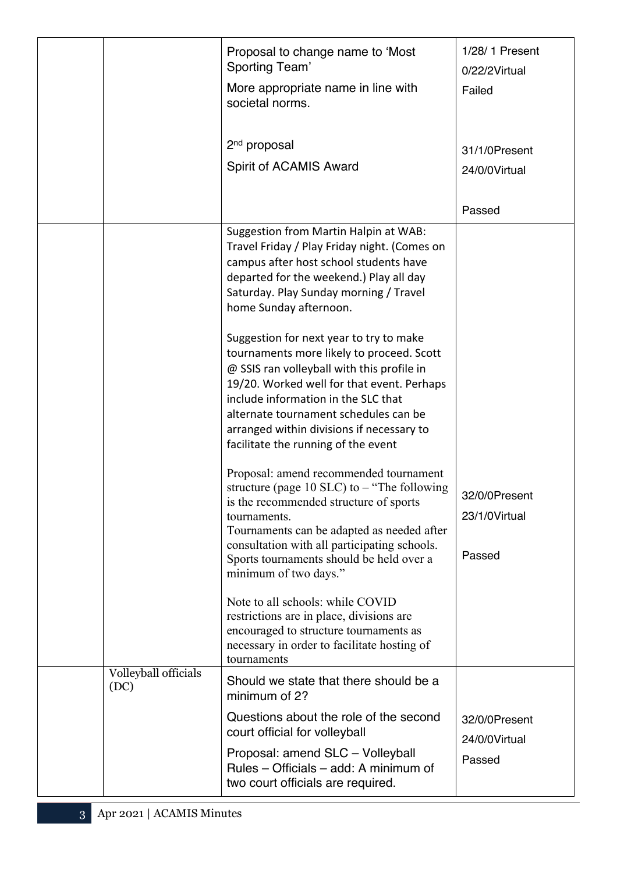|                              | Proposal to change name to 'Most<br>Sporting Team'<br>More appropriate name in line with<br>societal norms.                                                                                                                                                                                                                                          | 1/28/1 Present<br>0/22/2Virtual<br>Failed |
|------------------------------|------------------------------------------------------------------------------------------------------------------------------------------------------------------------------------------------------------------------------------------------------------------------------------------------------------------------------------------------------|-------------------------------------------|
|                              | 2 <sup>nd</sup> proposal<br>Spirit of ACAMIS Award                                                                                                                                                                                                                                                                                                   | 31/1/0Present<br>24/0/0Virtual            |
|                              |                                                                                                                                                                                                                                                                                                                                                      | Passed                                    |
|                              | Suggestion from Martin Halpin at WAB:<br>Travel Friday / Play Friday night. (Comes on<br>campus after host school students have<br>departed for the weekend.) Play all day<br>Saturday. Play Sunday morning / Travel<br>home Sunday afternoon.                                                                                                       |                                           |
|                              | Suggestion for next year to try to make<br>tournaments more likely to proceed. Scott<br>@ SSIS ran volleyball with this profile in<br>19/20. Worked well for that event. Perhaps<br>include information in the SLC that<br>alternate tournament schedules can be<br>arranged within divisions if necessary to<br>facilitate the running of the event |                                           |
|                              | Proposal: amend recommended tournament<br>structure (page $10$ SLC) to $-$ "The following<br>is the recommended structure of sports<br>tournaments.<br>Tournaments can be adapted as needed after<br>consultation with all participating schools.<br>Sports tournaments should be held over a<br>minimum of two days."                               | 32/0/0Present<br>23/1/0Virtual<br>Passed  |
|                              | Note to all schools: while COVID<br>restrictions are in place, divisions are<br>encouraged to structure tournaments as<br>necessary in order to facilitate hosting of<br>tournaments                                                                                                                                                                 |                                           |
| Volleyball officials<br>(DC) | Should we state that there should be a<br>minimum of 2?                                                                                                                                                                                                                                                                                              |                                           |
|                              | Questions about the role of the second<br>court official for volleyball                                                                                                                                                                                                                                                                              | 32/0/0Present<br>24/0/0Virtual            |
|                              | Proposal: amend SLC - Volleyball<br>Rules - Officials - add: A minimum of<br>two court officials are required.                                                                                                                                                                                                                                       | Passed                                    |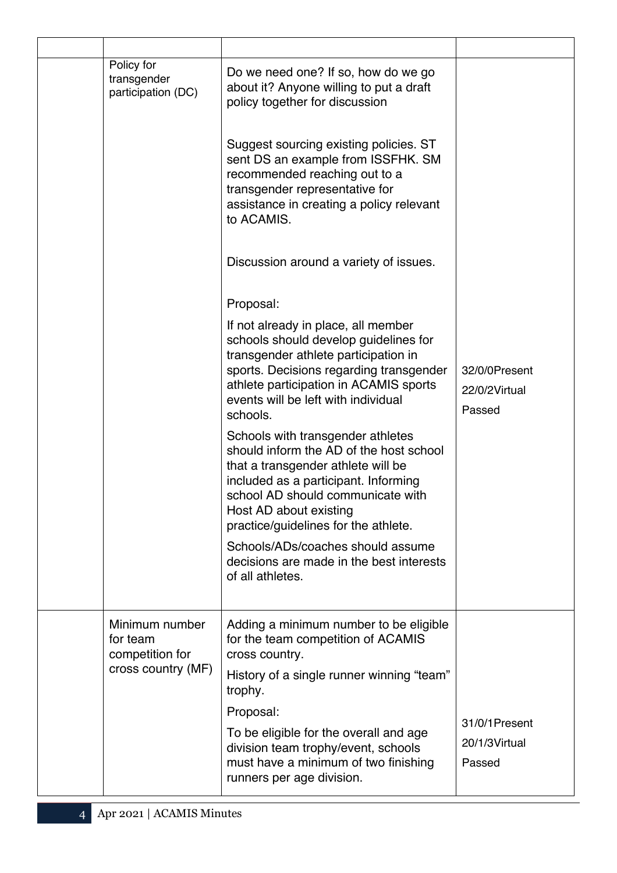| Policy for<br>transgender<br>participation (DC) | Do we need one? If so, how do we go<br>about it? Anyone willing to put a draft<br>policy together for discussion                                                                                                                                                  |                                          |
|-------------------------------------------------|-------------------------------------------------------------------------------------------------------------------------------------------------------------------------------------------------------------------------------------------------------------------|------------------------------------------|
|                                                 | Suggest sourcing existing policies. ST<br>sent DS an example from ISSFHK. SM<br>recommended reaching out to a<br>transgender representative for<br>assistance in creating a policy relevant<br>to ACAMIS.                                                         |                                          |
|                                                 | Discussion around a variety of issues.                                                                                                                                                                                                                            |                                          |
|                                                 | Proposal:                                                                                                                                                                                                                                                         |                                          |
|                                                 | If not already in place, all member<br>schools should develop guidelines for<br>transgender athlete participation in<br>sports. Decisions regarding transgender<br>athlete participation in ACAMIS sports<br>events will be left with individual<br>schools.      | 32/0/0Present<br>22/0/2Virtual<br>Passed |
|                                                 | Schools with transgender athletes<br>should inform the AD of the host school<br>that a transgender athlete will be<br>included as a participant. Informing<br>school AD should communicate with<br>Host AD about existing<br>practice/guidelines for the athlete. |                                          |
|                                                 | Schools/ADs/coaches should assume<br>decisions are made in the best interests<br>of all athletes.                                                                                                                                                                 |                                          |
| Minimum number<br>for team<br>competition for   | Adding a minimum number to be eligible<br>for the team competition of ACAMIS<br>cross country.                                                                                                                                                                    |                                          |
| cross country (MF)                              | History of a single runner winning "team"<br>trophy.                                                                                                                                                                                                              |                                          |
|                                                 | Proposal:                                                                                                                                                                                                                                                         |                                          |
|                                                 | To be eligible for the overall and age<br>division team trophy/event, schools<br>must have a minimum of two finishing<br>runners per age division.                                                                                                                | 31/0/1Present<br>20/1/3Virtual<br>Passed |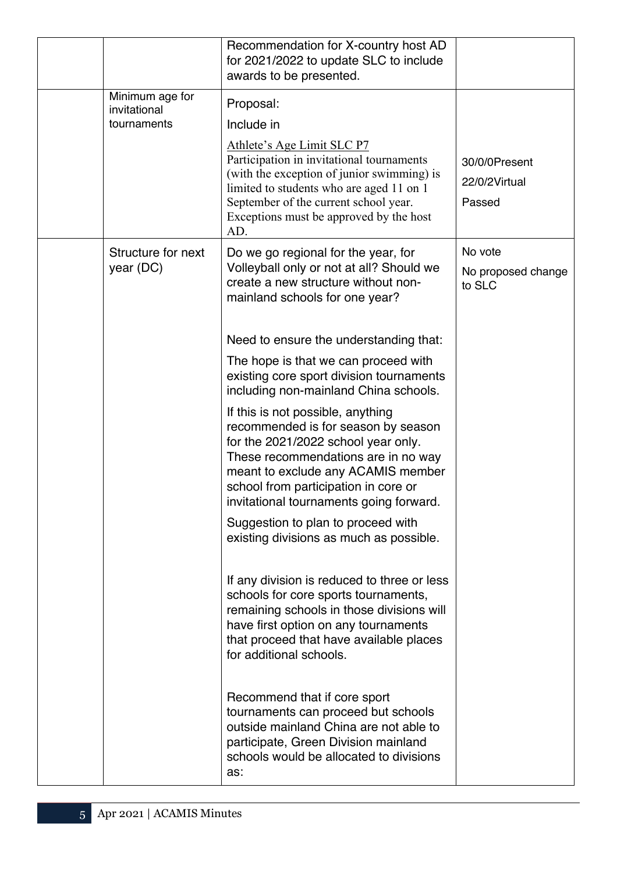|                                 | Recommendation for X-country host AD<br>for 2021/2022 to update SLC to include<br>awards to be presented.                                                                                                                                                                       |                                          |
|---------------------------------|---------------------------------------------------------------------------------------------------------------------------------------------------------------------------------------------------------------------------------------------------------------------------------|------------------------------------------|
| Minimum age for<br>invitational | Proposal:                                                                                                                                                                                                                                                                       |                                          |
| tournaments                     | Include in                                                                                                                                                                                                                                                                      |                                          |
|                                 | Athlete's Age Limit SLC P7<br>Participation in invitational tournaments<br>(with the exception of junior swimming) is<br>limited to students who are aged 11 on 1<br>September of the current school year.<br>Exceptions must be approved by the host<br>AD.                    | 30/0/0Present<br>22/0/2Virtual<br>Passed |
| Structure for next              | Do we go regional for the year, for                                                                                                                                                                                                                                             | No vote                                  |
| year (DC)                       | Volleyball only or not at all? Should we<br>create a new structure without non-<br>mainland schools for one year?                                                                                                                                                               | No proposed change<br>to SLC             |
|                                 | Need to ensure the understanding that:                                                                                                                                                                                                                                          |                                          |
|                                 | The hope is that we can proceed with<br>existing core sport division tournaments<br>including non-mainland China schools.                                                                                                                                                       |                                          |
|                                 | If this is not possible, anything<br>recommended is for season by season<br>for the 2021/2022 school year only.<br>These recommendations are in no way<br>meant to exclude any ACAMIS member<br>school from participation in core or<br>invitational tournaments going forward. |                                          |
|                                 | Suggestion to plan to proceed with<br>existing divisions as much as possible.                                                                                                                                                                                                   |                                          |
|                                 | If any division is reduced to three or less<br>schools for core sports tournaments,<br>remaining schools in those divisions will<br>have first option on any tournaments<br>that proceed that have available places<br>for additional schools.                                  |                                          |
|                                 | Recommend that if core sport<br>tournaments can proceed but schools<br>outside mainland China are not able to<br>participate, Green Division mainland<br>schools would be allocated to divisions<br>as:                                                                         |                                          |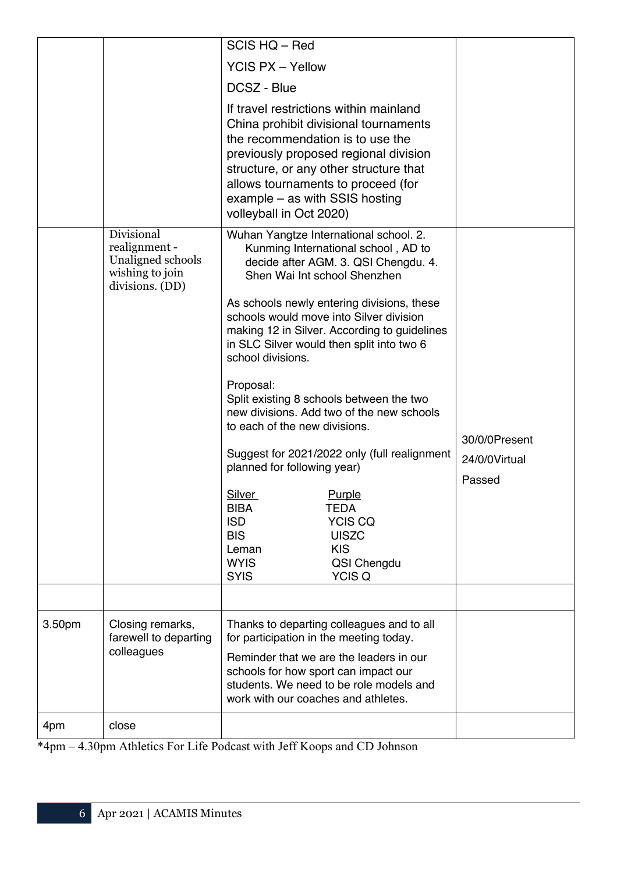|        |                                                                                        | SCIS HQ - Red                                                                                                                                                                                                                                                                                                                                                                                                                                                                                                                                                                                                                                                                                                                                                                               |                                          |
|--------|----------------------------------------------------------------------------------------|---------------------------------------------------------------------------------------------------------------------------------------------------------------------------------------------------------------------------------------------------------------------------------------------------------------------------------------------------------------------------------------------------------------------------------------------------------------------------------------------------------------------------------------------------------------------------------------------------------------------------------------------------------------------------------------------------------------------------------------------------------------------------------------------|------------------------------------------|
|        |                                                                                        | <b>YCIS PX - Yellow</b>                                                                                                                                                                                                                                                                                                                                                                                                                                                                                                                                                                                                                                                                                                                                                                     |                                          |
|        |                                                                                        | DCSZ - Blue                                                                                                                                                                                                                                                                                                                                                                                                                                                                                                                                                                                                                                                                                                                                                                                 |                                          |
|        |                                                                                        | If travel restrictions within mainland<br>China prohibit divisional tournaments<br>the recommendation is to use the<br>previously proposed regional division<br>structure, or any other structure that<br>allows tournaments to proceed (for<br>example – as with SSIS hosting<br>volleyball in Oct 2020)                                                                                                                                                                                                                                                                                                                                                                                                                                                                                   |                                          |
|        | Divisional<br>realignment -<br>Unaligned schools<br>wishing to join<br>divisions. (DD) | Wuhan Yangtze International school. 2.<br>Kunming International school, AD to<br>decide after AGM. 3. QSI Chengdu. 4.<br>Shen Wai Int school Shenzhen<br>As schools newly entering divisions, these<br>schools would move into Silver division<br>making 12 in Silver. According to guidelines<br>in SLC Silver would then split into two 6<br>school divisions.<br>Proposal:<br>Split existing 8 schools between the two<br>new divisions. Add two of the new schools<br>to each of the new divisions.<br>Suggest for 2021/2022 only (full realignment<br>planned for following year)<br><b>Silver</b><br>Purple<br><b>BIBA</b><br><b>TEDA</b><br><b>ISD</b><br><b>YCIS CQ</b><br><b>BIS</b><br><b>UISZC</b><br><b>KIS</b><br>Leman<br><b>WYIS</b><br>QSI Chengdu<br><b>SYIS</b><br>YCIS Q | 30/0/0Present<br>24/0/0Virtual<br>Passed |
|        |                                                                                        |                                                                                                                                                                                                                                                                                                                                                                                                                                                                                                                                                                                                                                                                                                                                                                                             |                                          |
| 3.50pm | Closing remarks,<br>farewell to departing<br>colleagues                                | Thanks to departing colleagues and to all<br>for participation in the meeting today.<br>Reminder that we are the leaders in our<br>schools for how sport can impact our<br>students. We need to be role models and<br>work with our coaches and athletes.                                                                                                                                                                                                                                                                                                                                                                                                                                                                                                                                   |                                          |
| 4pm    | close                                                                                  |                                                                                                                                                                                                                                                                                                                                                                                                                                                                                                                                                                                                                                                                                                                                                                                             |                                          |

\*4pm – 4.30pm Athletics For Life Podcast with Jeff Koops and CD Johnson